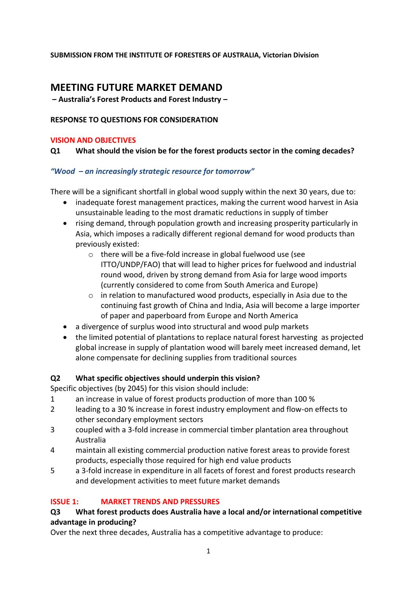#### **SUBMISSION FROM THE INSTITUTE OF FORESTERS OF AUSTRALIA, Victorian Division**

# **MEETING FUTURE MARKET DEMAND**

**– Australia's Forest Products and Forest Industry –**

#### **RESPONSE TO QUESTIONS FOR CONSIDERATION**

#### **VISION AND OBJECTIVES**

#### **Q1 What should the vision be for the forest products sector in the coming decades?**

#### *"Wood – an increasingly strategic resource for tomorrow"*

There will be a significant shortfall in global wood supply within the next 30 years, due to:

- inadequate forest management practices, making the current wood harvest in Asia unsustainable leading to the most dramatic reductions in supply of timber
- rising demand, through population growth and increasing prosperity particularly in Asia, which imposes a radically different regional demand for wood products than previously existed:
	- o there will be a five-fold increase in global fuelwood use (see ITTO/UNDP/FAO) that will lead to higher prices for fuelwood and industrial round wood, driven by strong demand from Asia for large wood imports (currently considered to come from South America and Europe)
	- o in relation to manufactured wood products, especially in Asia due to the continuing fast growth of China and India, Asia will become a large importer of paper and paperboard from Europe and North America
- a divergence of surplus wood into structural and wood pulp markets
- the limited potential of plantations to replace natural forest harvesting as projected global increase in supply of plantation wood will barely meet increased demand, let alone compensate for declining supplies from traditional sources

#### **Q2 What specific objectives should underpin this vision?**

Specific objectives (by 2045) for this vision should include:

- 1 an increase in value of forest products production of more than 100 %
- 2 leading to a 30 % increase in forest industry employment and flow-on effects to other secondary employment sectors
- 3 coupled with a 3-fold increase in commercial timber plantation area throughout Australia
- 4 maintain all existing commercial production native forest areas to provide forest products, especially those required for high end value products
- 5 a 3-fold increase in expenditure in all facets of forest and forest products research and development activities to meet future market demands

#### **ISSUE 1: MARKET TRENDS AND PRESSURES**

#### **Q3 What forest products does Australia have a local and/or international competitive advantage in producing?**

Over the next three decades, Australia has a competitive advantage to produce: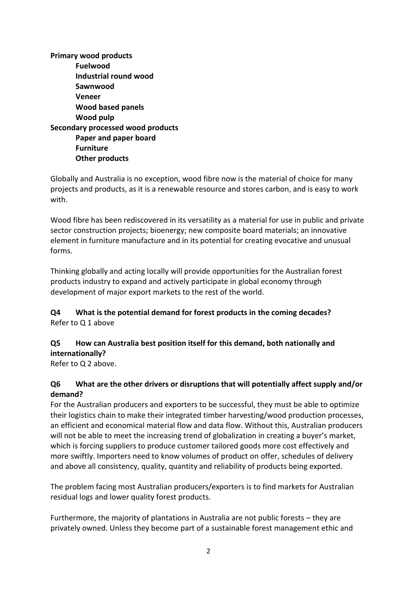**Primary wood products Fuelwood Industrial round wood Sawnwood Veneer Wood based panels Wood pulp Secondary processed wood products Paper and paper board Furniture Other products**

Globally and Australia is no exception, wood fibre now is the material of choice for many projects and products, as it is a renewable resource and stores carbon, and is easy to work with.

Wood fibre has been rediscovered in its versatility as a material for use in public and private sector construction projects; bioenergy; new composite board materials; an innovative element in furniture manufacture and in its potential for creating evocative and unusual forms.

Thinking globally and acting locally will provide opportunities for the Australian forest products industry to expand and actively participate in global economy through development of major export markets to the rest of the world.

#### **Q4 What is the potential demand for forest products in the coming decades?** Refer to Q 1 above

# **Q5 How can Australia best position itself for this demand, both nationally and internationally?**

Refer to Q 2 above.

## **Q6 What are the other drivers or disruptions that will potentially affect supply and/or demand?**

For the Australian producers and exporters to be successful, they must be able to optimize their logistics chain to make their integrated timber harvesting/wood production processes, an efficient and economical material flow and data flow. Without this, Australian producers will not be able to meet the increasing trend of globalization in creating a buyer's market, which is forcing suppliers to produce customer tailored goods more cost effectively and more swiftly. Importers need to know volumes of product on offer, schedules of delivery and above all consistency, quality, quantity and reliability of products being exported.

The problem facing most Australian producers/exporters is to find markets for Australian residual logs and lower quality forest products.

Furthermore, the majority of plantations in Australia are not public forests – they are privately owned. Unless they become part of a sustainable forest management ethic and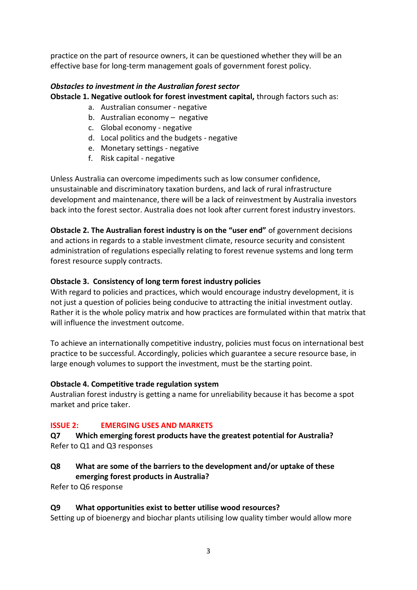practice on the part of resource owners, it can be questioned whether they will be an effective base for long-term management goals of government forest policy.

# *Obstacles to investment in the Australian forest sector*

**Obstacle 1. Negative outlook for forest investment capital,** through factors such as:

- a. Australian consumer negative
- b. Australian economy negative
- c. Global economy negative
- d. Local politics and the budgets negative
- e. Monetary settings negative
- f. Risk capital negative

Unless Australia can overcome impediments such as low consumer confidence, unsustainable and discriminatory taxation burdens, and lack of rural infrastructure development and maintenance, there will be a lack of reinvestment by Australia investors back into the forest sector. Australia does not look after current forest industry investors.

**Obstacle 2. The Australian forest industry is on the "user end"** of government decisions and actions in regards to a stable investment climate, resource security and consistent administration of regulations especially relating to forest revenue systems and long term forest resource supply contracts.

# **Obstacle 3. Consistency of long term forest industry policies**

With regard to policies and practices, which would encourage industry development, it is not just a question of policies being conducive to attracting the initial investment outlay. Rather it is the whole policy matrix and how practices are formulated within that matrix that will influence the investment outcome.

To achieve an internationally competitive industry, policies must focus on international best practice to be successful. Accordingly, policies which guarantee a secure resource base, in large enough volumes to support the investment, must be the starting point.

## **Obstacle 4. Competitive trade regulation system**

Australian forest industry is getting a name for unreliability because it has become a spot market and price taker.

# **ISSUE 2: EMERGING USES AND MARKETS**

**Q7 Which emerging forest products have the greatest potential for Australia?** Refer to Q1 and Q3 responses

**Q8 What are some of the barriers to the development and/or uptake of these emerging forest products in Australia?**

Refer to Q6 response

## **Q9 What opportunities exist to better utilise wood resources?**

Setting up of bioenergy and biochar plants utilising low quality timber would allow more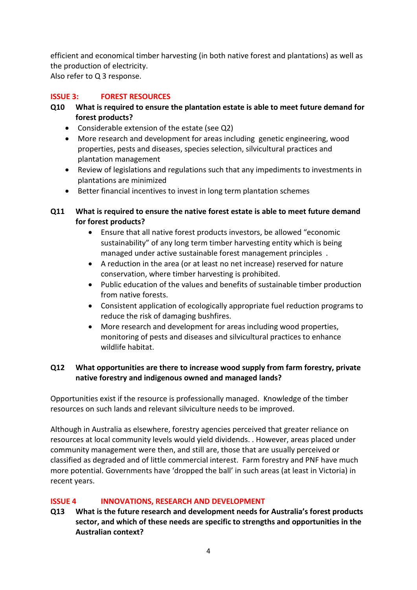efficient and economical timber harvesting (in both native forest and plantations) as well as the production of electricity. Also refer to Q 3 response.

#### **ISSUE 3: FOREST RESOURCES**

#### **Q10 What is required to ensure the plantation estate is able to meet future demand for forest products?**

- Considerable extension of the estate (see Q2)
- More research and development for areas including genetic engineering, wood properties, pests and diseases, species selection, silvicultural practices and plantation management
- Review of legislations and regulations such that any impediments to investments in plantations are minimized
- Better financial incentives to invest in long term plantation schemes

## **Q11 What is required to ensure the native forest estate is able to meet future demand for forest products?**

- Ensure that all native forest products investors, be allowed "economic sustainability" of any long term timber harvesting entity which is being managed under active sustainable forest management principles .
- A reduction in the area (or at least no net increase) reserved for nature conservation, where timber harvesting is prohibited.
- Public education of the values and benefits of sustainable timber production from native forests.
- Consistent application of ecologically appropriate fuel reduction programs to reduce the risk of damaging bushfires.
- More research and development for areas including wood properties, monitoring of pests and diseases and silvicultural practices to enhance wildlife habitat.

## **Q12 What opportunities are there to increase wood supply from farm forestry, private native forestry and indigenous owned and managed lands?**

Opportunities exist if the resource is professionally managed. Knowledge of the timber resources on such lands and relevant silviculture needs to be improved.

Although in Australia as elsewhere, forestry agencies perceived that greater reliance on resources at local community levels would yield dividends. . However, areas placed under community management were then, and still are, those that are usually perceived or classified as degraded and of little commercial interest. Farm forestry and PNF have much more potential. Governments have 'dropped the ball' in such areas (at least in Victoria) in recent years.

## **ISSUE 4 INNOVATIONS, RESEARCH AND DEVELOPMENT**

**Q13 What is the future research and development needs for Australia's forest products sector, and which of these needs are specific to strengths and opportunities in the Australian context?**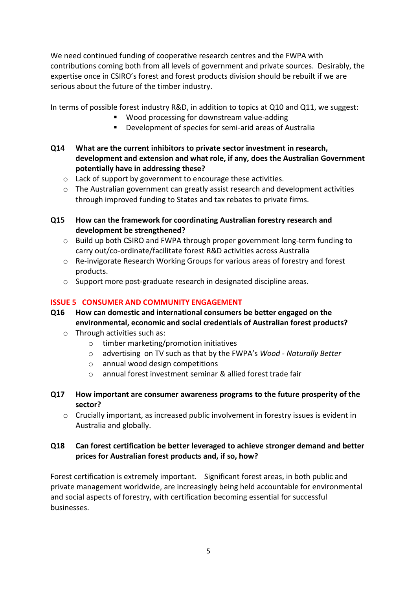We need continued funding of cooperative research centres and the FWPA with contributions coming both from all levels of government and private sources. Desirably, the expertise once in CSIRO's forest and forest products division should be rebuilt if we are serious about the future of the timber industry.

In terms of possible forest industry R&D, in addition to topics at Q10 and Q11, we suggest:

- Wood processing for downstream value-adding
- Development of species for semi-arid areas of Australia
- **Q14 What are the current inhibitors to private sector investment in research, development and extension and what role, if any, does the Australian Government potentially have in addressing these?**
	- o Lack of support by government to encourage these activities.
	- o The Australian government can greatly assist research and development activities through improved funding to States and tax rebates to private firms.
- **Q15 How can the framework for coordinating Australian forestry research and development be strengthened?**
	- o Build up both CSIRO and FWPA through proper government long-term funding to carry out/co-ordinate/facilitate forest R&D activities across Australia
	- o Re-invigorate Research Working Groups for various areas of forestry and forest products.
	- o Support more post-graduate research in designated discipline areas.

#### **ISSUE 5 CONSUMER AND COMMUNITY ENGAGEMENT**

- **Q16 How can domestic and international consumers be better engaged on the environmental, economic and social credentials of Australian forest products?**
	- o Through activities such as:
		- o timber marketing/promotion initiatives
		- o advertising on TV such as that by the FWPA's *Wood - Naturally Better*
		- o annual wood design competitions
		- o annual forest investment seminar & allied forest trade fair
- **Q17 How important are consumer awareness programs to the future prosperity of the sector?**
	- o Crucially important, as increased public involvement in forestry issues is evident in Australia and globally.

#### **Q18 Can forest certification be better leveraged to achieve stronger demand and better prices for Australian forest products and, if so, how?**

Forest certification is extremely important. Significant forest areas, in both public and private management worldwide, are increasingly being held accountable for environmental and social aspects of forestry, with certification becoming essential for successful businesses.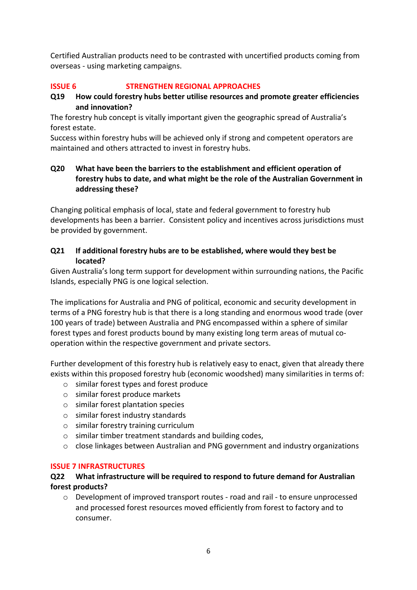Certified Australian products need to be contrasted with uncertified products coming from overseas - using marketing campaigns.

## **ISSUE 6 STRENGTHEN REGIONAL APPROACHES**

#### **Q19 How could forestry hubs better utilise resources and promote greater efficiencies and innovation?**

The forestry hub concept is vitally important given the geographic spread of Australia's forest estate.

Success within forestry hubs will be achieved only if strong and competent operators are maintained and others attracted to invest in forestry hubs.

## **Q20 What have been the barriers to the establishment and efficient operation of forestry hubs to date, and what might be the role of the Australian Government in addressing these?**

Changing political emphasis of local, state and federal government to forestry hub developments has been a barrier. Consistent policy and incentives across jurisdictions must be provided by government.

#### **Q21 If additional forestry hubs are to be established, where would they best be located?**

Given Australia's long term support for development within surrounding nations, the Pacific Islands, especially PNG is one logical selection.

The implications for Australia and PNG of political, economic and security development in terms of a PNG forestry hub is that there is a long standing and enormous wood trade (over 100 years of trade) between Australia and PNG encompassed within a sphere of similar forest types and forest products bound by many existing long term areas of mutual cooperation within the respective government and private sectors.

Further development of this forestry hub is relatively easy to enact, given that already there exists within this proposed forestry hub (economic woodshed) many similarities in terms of:

- o similar forest types and forest produce
- o similar forest produce markets
- o similar forest plantation species
- o similar forest industry standards
- o similar forestry training curriculum
- o similar timber treatment standards and building codes,
- $\circ$  close linkages between Australian and PNG government and industry organizations

#### **ISSUE 7 INFRASTRUCTURES**

#### **Q22 What infrastructure will be required to respond to future demand for Australian forest products?**

o Development of improved transport routes - road and rail - to ensure unprocessed and processed forest resources moved efficiently from forest to factory and to consumer.